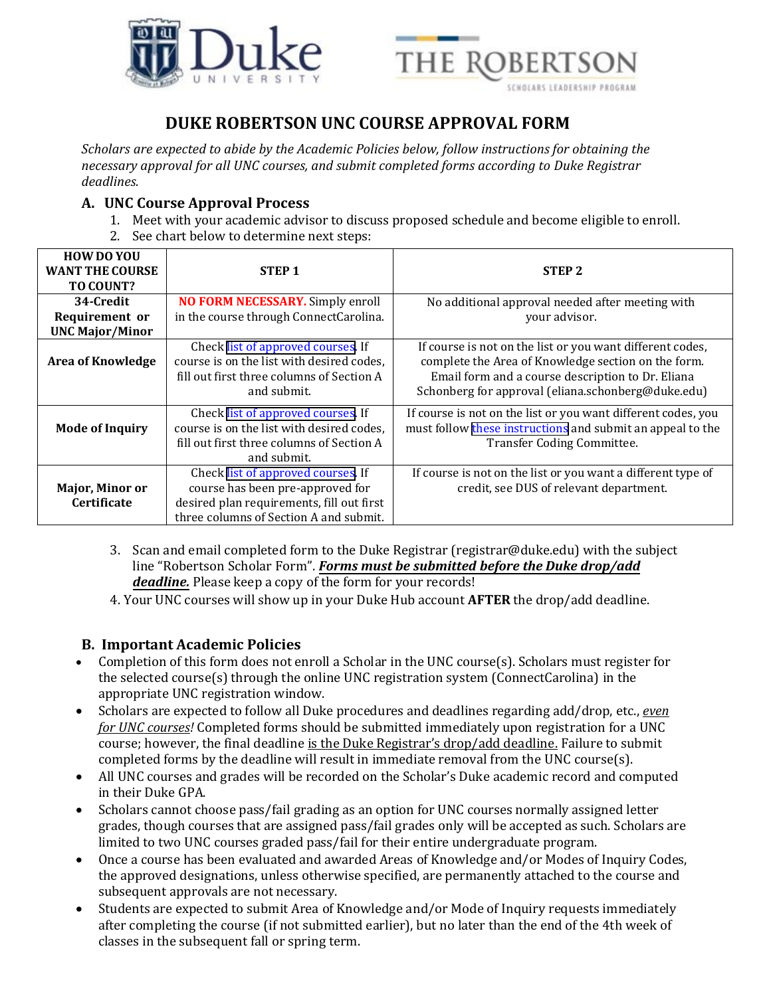



## **DUKE ROBERTSON UNC COURSE APPROVAL FORM**

*Scholars are expected to abide by the Academic Policies below, follow instructions for obtaining the necessary approval for all UNC courses, and submit completed forms according to Duke Registrar deadlines.*

## **A. UNC Course Approval Process**

- 1. Meet with your academic advisor to discuss proposed schedule and become eligible to enroll.
- 2. See chart below to determine next steps:

| <b>HOW DO YOU</b><br><b>WANT THE COURSE</b><br>TO COUNT? | <b>STEP1</b>                                                                                                                                                  | <b>STEP 2</b>                                                                                                                                                                                                               |
|----------------------------------------------------------|---------------------------------------------------------------------------------------------------------------------------------------------------------------|-----------------------------------------------------------------------------------------------------------------------------------------------------------------------------------------------------------------------------|
| 34-Credit<br>Requirement or<br><b>UNC Major/Minor</b>    | <b>NO FORM NECESSARY.</b> Simply enroll<br>in the course through ConnectCarolina.                                                                             | No additional approval needed after meeting with<br>your advisor.                                                                                                                                                           |
| <b>Area of Knowledge</b>                                 | Check list of approved courses. If<br>course is on the list with desired codes,<br>fill out first three columns of Section A<br>and submit.                   | If course is not on the list or you want different codes,<br>complete the Area of Knowledge section on the form.<br>Email form and a course description to Dr. Eliana<br>Schonberg for approval (eliana.schonberg@duke.edu) |
| <b>Mode of Inquiry</b>                                   | Check list of approved courses. If<br>course is on the list with desired codes,<br>fill out first three columns of Section A<br>and submit.                   | If course is not on the list or you want different codes, you<br>must follow these instructions and submit an appeal to the<br>Transfer Coding Committee.                                                                   |
| Major, Minor or<br><b>Certificate</b>                    | Check list of approved courses. If<br>course has been pre-approved for<br>desired plan requirements, fill out first<br>three columns of Section A and submit. | If course is not on the list or you want a different type of<br>credit, see DUS of relevant department.                                                                                                                     |

- 3. Scan and email completed form to the Duke Registrar (registrar@duke.edu) with the subject line "Robertson Scholar Form". *Forms must be submitted before the Duke drop/add deadline.* Please keep a copy of the form for your records!
- 4. Your UNC courses will show up in your Duke Hub account **AFTER** the drop/add deadline.

## **B. Important Academic Policies**

- Completion of this form does not enroll a Scholar in the UNC course(s). Scholars must register for the selected course(s) through the online UNC registration system (ConnectCarolina) in the appropriate UNC registration window.
- Scholars are expected to follow all Duke procedures and deadlines regarding add/drop, etc., *even for UNC courses!* Completed forms should be submitted immediately upon registration for a UNC course; however, the final deadline is the Duke Registrar's drop/add deadline. Failure to submit completed forms by the deadline will result in immediate removal from the UNC course(s).
- All UNC courses and grades will be recorded on the Scholar's Duke academic record and computed in their Duke GPA.
- Scholars cannot choose pass/fail grading as an option for UNC courses normally assigned letter grades, though courses that are assigned pass/fail grades only will be accepted as such. Scholars are limited to two UNC courses graded pass/fail for their entire undergraduate program.
- Once a course has been evaluated and awarded Areas of Knowledge and/or Modes of Inquiry Codes, the approved designations, unless otherwise specified, are permanently attached to the course and subsequent approvals are not necessary.
- Students are expected to submit Area of Knowledge and/or Mode of Inquiry requests immediately after completing the course (if not submitted earlier), but no later than the end of the 4th week of classes in the subsequent fall or spring term.